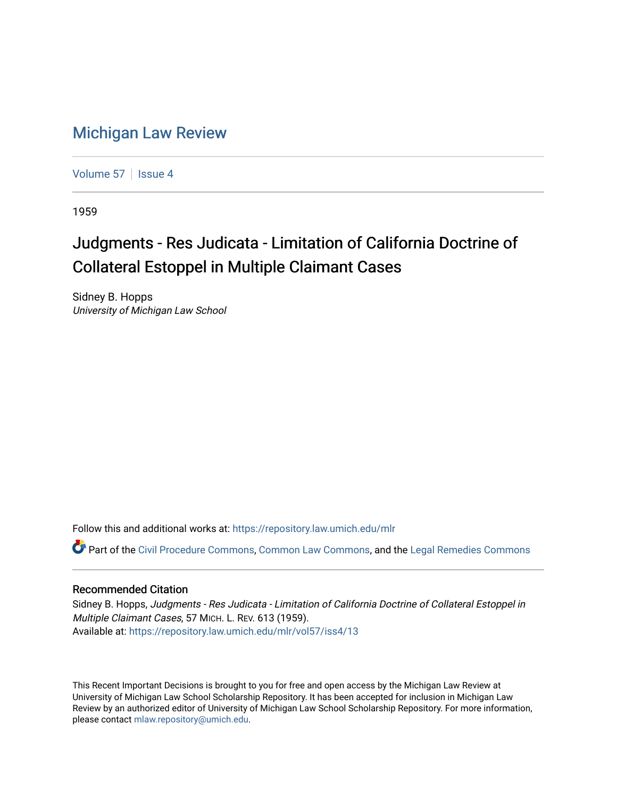## [Michigan Law Review](https://repository.law.umich.edu/mlr)

[Volume 57](https://repository.law.umich.edu/mlr/vol57) | [Issue 4](https://repository.law.umich.edu/mlr/vol57/iss4)

1959

## Judgments - Res Judicata - Limitation of California Doctrine of Collateral Estoppel in Multiple Claimant Cases

Sidney B. Hopps University of Michigan Law School

Follow this and additional works at: [https://repository.law.umich.edu/mlr](https://repository.law.umich.edu/mlr?utm_source=repository.law.umich.edu%2Fmlr%2Fvol57%2Fiss4%2F13&utm_medium=PDF&utm_campaign=PDFCoverPages) 

Part of the [Civil Procedure Commons,](http://network.bepress.com/hgg/discipline/584?utm_source=repository.law.umich.edu%2Fmlr%2Fvol57%2Fiss4%2F13&utm_medium=PDF&utm_campaign=PDFCoverPages) [Common Law Commons](http://network.bepress.com/hgg/discipline/1120?utm_source=repository.law.umich.edu%2Fmlr%2Fvol57%2Fiss4%2F13&utm_medium=PDF&utm_campaign=PDFCoverPages), and the [Legal Remedies Commons](http://network.bepress.com/hgg/discipline/618?utm_source=repository.law.umich.edu%2Fmlr%2Fvol57%2Fiss4%2F13&utm_medium=PDF&utm_campaign=PDFCoverPages) 

## Recommended Citation

Sidney B. Hopps, Judgments - Res Judicata - Limitation of California Doctrine of Collateral Estoppel in Multiple Claimant Cases, 57 MICH. L. REV. 613 (1959). Available at: [https://repository.law.umich.edu/mlr/vol57/iss4/13](https://repository.law.umich.edu/mlr/vol57/iss4/13?utm_source=repository.law.umich.edu%2Fmlr%2Fvol57%2Fiss4%2F13&utm_medium=PDF&utm_campaign=PDFCoverPages) 

This Recent Important Decisions is brought to you for free and open access by the Michigan Law Review at University of Michigan Law School Scholarship Repository. It has been accepted for inclusion in Michigan Law Review by an authorized editor of University of Michigan Law School Scholarship Repository. For more information, please contact [mlaw.repository@umich.edu.](mailto:mlaw.repository@umich.edu)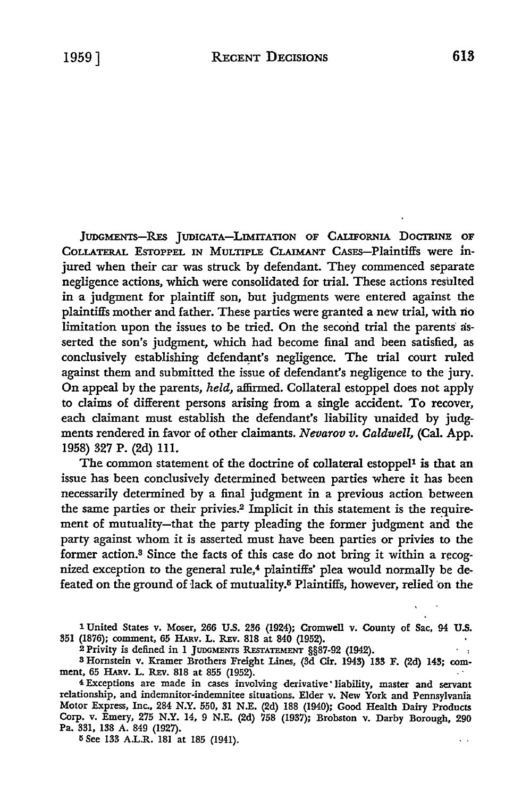JUDGMENTs-REs JUDICATA-LIMITATION OF CALIFORNIA DOCTRINE OF COLLATERAL **ESTOPPEL** IN MULTIPLE **CLAIMANT** CASES-Plaintiffs were injured when their car was struck by defendant. They commenced separate negligence actions, which were consolidated for trial. These actions resulted in a judgment for plaintiff son, but judgments were entered against the plaintiffs mother and father. These parties were granted a new trial, with rio limitation upon the issues to be tried. On the second trial the parents asserted the son's judgment, which had become final and been satisfied, as conclusively establishing defendant's negligence. The trial court ruled against them and submitted the issue of defendant's negligence to the jury. On appeal by the parents, *held,* affirmed. Collateral estoppel does not apply to claims of different persons arising from a single accident. To recover, each claimant must establish the defendant's liability unaided by judgments rendered in favor of other claimants. *Nevarov v. Caldwell,* (Cal. App. 1958) 327 P. (2d) 111.

The common statement of the doctrine of collateral estoppel<sup>1</sup> is that an issue has been conclusively determined between parties where it has been necessarily determined by a final judgment in a previous action between the same parties or their privies.2 Implicit in this statement is the requirement of mutuality-that the party pleading the former judgment and the party against whom it is asserted must have been parties or privies to the former action.3 Since the facts of this case do not bring it within a recognized exception to the general rule,<sup>4</sup> plaintiffs' plea would normally be defeated on the ground of lack of mutuality.5 Plaintiffs, however, relied on the

2 Privity is defined in 1 **JUDGMENTs REsTATEmENT §§87-92** (1942).

4Exceptions are made in cases involving derivative' liability, master and servant relationship, and indemnitor-indemnitee situations. Elder v. New York and Pennsylvania Motor Express, Inc., 284 N.Y. **550,** *31* N.E. (2d) **188** (1940); Good Health Dairy Products Corp. v. Emery, **275** N.Y. 14, **9 N.E.** (2d) **758 (1937);** Brobston v. Darby Borough, **290** Pa. **331, 138 A.** 849 **(1927).**

**<sup>5</sup>**See **133** A.L.R. 181 at **185** (1941).

 $\zeta \rightarrow$ 

<sup>&#</sup>x27;United States v. Moser, 266 **U.S. 236** (1924); Cromwell v. County of Sac, 94 **U.S. 351** (1876); comment, **65** H.Mv. L. Rxv. 818 at 840 (1952).

**<sup>3</sup>** Hornstein v. Kramer Brothers Freight Lines, **(3d** Cir. 1948) **135** F. (2d) 145; comment, 65 HARV. L. REV. 818 at 855 (1952).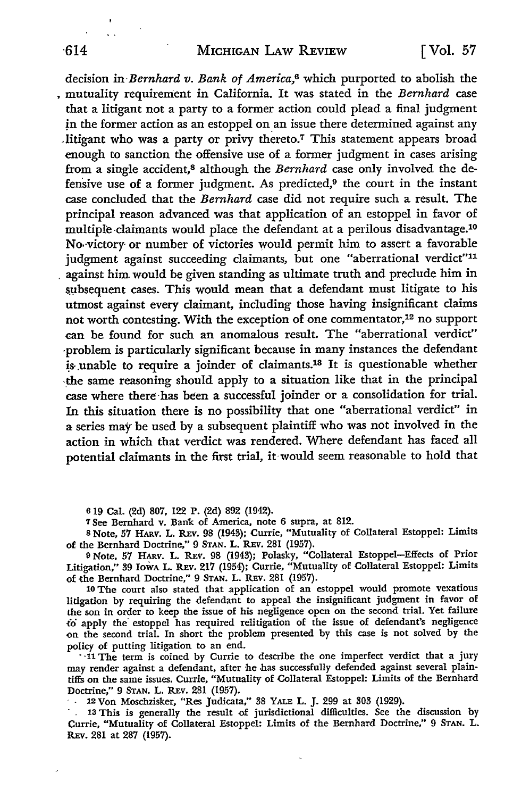decision *in-Bernhard v. Bank of America,6* which purported to abolish the mutuality requirement in California. It was stated in the *Bernhard* case that a litigant not a party to a former action could plead a final judgment in the former action as an estoppel on an issue there determined against any litigant who was a party or privy thereto.<sup>7</sup> This statement appears broad enough to sanction the offensive use of a former judgment in cases arising from a single accident,8 although the *Bernhard* case only involved the defensive use of a former judgment. As predicted, $9$  the court in the instant case concluded that the *Bernhard* case did not require such a result. The principal reason advanced was that application of an estoppel in favor of multiple-claimants would place the defendant at a perilous disadvantage.<sup>10</sup> No victory or number of victories would permit him to assert a favorable judgment against succeeding claimants, but one "aberrational verdict"<sup>11</sup> against him would be given standing as ultimate truth and preclude him in subsequent cases. This would mean that a defendant must litigate to his utmost against every claimant, including those having insignificant claims not worth contesting. With the exception of one commentator, 12 no support can be found for such an anomalous result. The "aberrational verdict" -problem is particularly significant because in many instances the defendant is unable to require a joinder of claimants.<sup>13</sup> It is questionable whether -the same reasoning should apply to a situation like that in the principal case where there has been a successful joinder or a consolidation for trial. In this situation there is no possibility that one "aberrational verdict" in a series may be used by a subsequent plaintiff who was not involved in the action in which that verdict was rendered. Where defendant has faced all potential claimants in the first trial, it-would seem reasonable to hold that

**6 19** Cal. **(2d) 807,** 122 P. (2d) **892** (1942).

T See Bernhard v. Bank of America, note **6** supra, at **812.**

**<sup>8</sup>**Note, **57** HARv. L. Ray. **98** (1943); Currie, "Mutuality of Collateral Estoppel: Limits of the Bernhard Doctrine," **9 STAN.** L. REV. **281 (1957).**

**<sup>9</sup>**Note, **57** HA1v. L. REv. **98** (1943); Polasky, "Collateral Estoppel-Effects of Prior Litigation," **39** IowA L. **REv. 217** (1954); Currie, "Mutuality of Collateral Estoppel: Limits of -the Bernhard Doctrine," **9 STAN.** L. REv. **281 (1957).**

**<sup>10</sup>**The court also stated that application of an estoppel would promote vexatious litigation **by** requiring the defendant to appeal the insignificant judgment in favor of the son in order to keep the issue of his negligence open on the second trial. Yet failure **&** apply the' estoppel has required relitigation of the issue of defendant's negligence on the second trial. In short the problem presented by this case is not solved by the policy of putting litigation to an end.

-11 The term is coined by Currie to describe the one imperfect verdict that a jury may render against a defendant, after he has successfully defended against several plaintiffs on the same issues. Currie, "Mutuality of Collateral Estoppel: Limits of the Bernhard Doctrine," 9 **STAN.** L. REv. 281 (1957).

**<sup>12</sup>**Von Moschzisker, "Res Judicata," **38** YALE L. J. 299 at **303** (1929).

**1 '3** This is generally the result of jurisdictional difficulties. See the discussion **by** Currie, "Mutuality of Collateral Estoppel: Limits of the Bernhard Doctrine," 9 **STAN.** L. Ray. 281 at **287 (1957).**